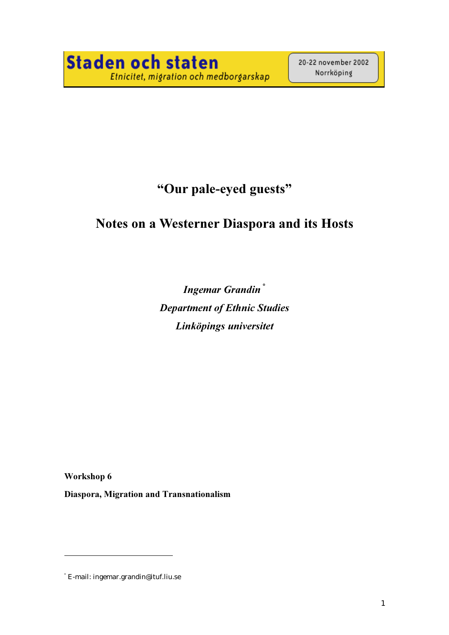# "Our pale-eyed guests"

# Notes on a Westerner Diaspora and its Hosts

Ingemar Grandin\* **Department of Ethnic Studies** Linköpings universitet

Workshop 6

-

Diaspora, Migration and Transnationalism

<sup>\*</sup> E-mail: ingemar.grandin@ituf.liu.se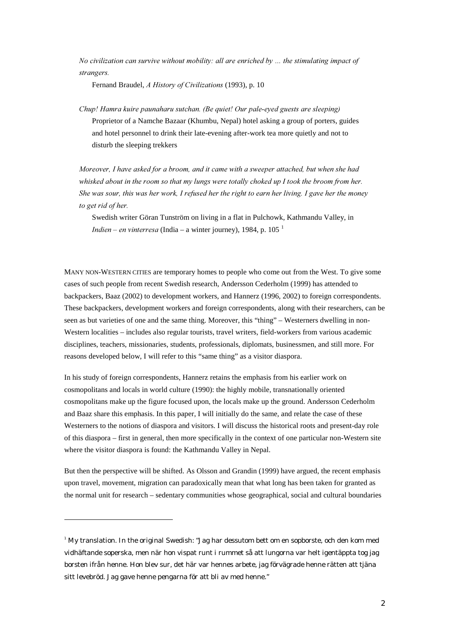No civilization can survive without mobility: all are enriched by ... the stimulating impact of strangers.

Fernand Braudel, A History of Civilizations (1993), p. 10

Chup! Hamra kuire paunaharu sutchan. (Be quiet! Our pale-eyed guests are sleeping) Proprietor of a Namche Bazaar (Khumbu, Nepal) hotel asking a group of porters, guides and hotel personnel to drink their late-evening after-work tea more quietly and not to disturb the sleeping trekkers

Moreover, I have asked for a broom, and it came with a sweeper attached, but when she had whisked about in the room so that my lungs were totally choked up I took the broom from her. She was sour, this was her work, I refused her the right to earn her living. I gave her the money to get rid of her.

Swedish writer Göran Tunström on living in a flat in Pulchowk, Kathmandu Valley, in Indien – en vinterresa (India – a winter journey), 1984, p. 105<sup>1</sup>

MANY NON-WESTERN CITIES are temporary homes to people who come out from the West. To give some cases of such people from recent Swedish research, Andersson Cederholm (1999) has attended to backpackers, Baaz (2002) to development workers, and Hannerz (1996, 2002) to foreign correspondents. These backpackers, development workers and foreign correspondents, along with their researchers, can be seen as but varieties of one and the same thing. Moreover, this "thing" – Westerners dwelling in non-Western localities – includes also regular tourists, travel writers, field-workers from various academic disciplines, teachers, missionaries, students, professionals, diplomats, businessmen, and still more. For reasons developed below, I will refer to this "same thing" as a visitor diaspora.

In his study of foreign correspondents, Hannerz retains the emphasis from his earlier work on cosmopolitans and locals in world culture (1990): the highly mobile, transnationally oriented cosmopolitans make up the figure focused upon, the locals make up the ground. Andersson Cederholm and Baaz share this emphasis. In this paper, I will initially do the same, and relate the case of these Westerners to the notions of diaspora and visitors. I will discuss the historical roots and present-day role of this diaspora – first in general, then more specifically in the context of one particular non-Western site where the visitor diaspora is found: the Kathmandu Valley in Nepal.

But then the perspective will be shifted. As Olsson and Grandin (1999) have argued, the recent emphasis upon travel, movement, migration can paradoxically mean that what long has been taken for granted as the normal unit for research – sedentary communities whose geographical, social and cultural boundaries

-

<sup>1</sup> My translation. In the original Swedish: "Jag har dessutom bett om en sopborste, och den kom med vidhäftande soperska, men när hon vispat runt i rummet så att lungorna var helt igentäppta tog jag borsten ifrån henne. Hon blev sur, det här var hennes arbete, jag förvägrade henne rätten att tjäna sitt levebröd. Jag gave henne pengarna för att bli av med henne."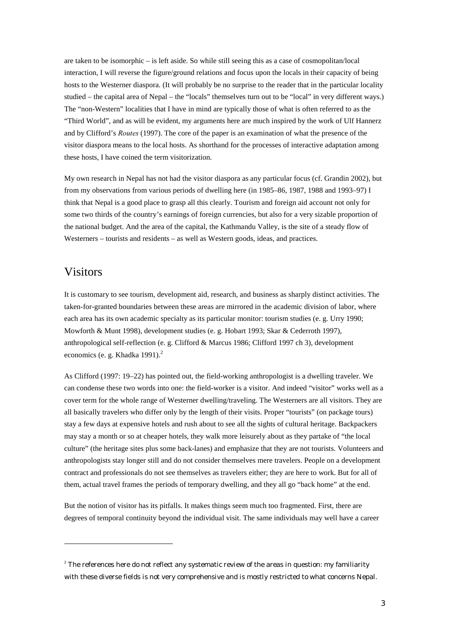are taken to be isomorphic – is left aside. So while still seeing this as a case of cosmopolitan/local interaction, I will reverse the figure/ground relations and focus upon the locals in their capacity of being hosts to the Westerner diaspora. (It will probably be no surprise to the reader that in the particular locality studied – the capital area of Nepal – the "locals" themselves turn out to be "local" in very different ways.) The "non-Western" localities that I have in mind are typically those of what is often referred to as the "Third World", and as will be evident, my arguments here are much inspired by the work of Ulf Hannerz and by Clifford's *Routes* (1997). The core of the paper is an examination of what the presence of the visitor diaspora means to the local hosts. As shorthand for the processes of interactive adaptation among these hosts, I have coined the term visitorization.

My own research in Nepal has not had the visitor diaspora as any particular focus (cf. Grandin 2002), but from my observations from various periods of dwelling here (in 1985–86, 1987, 1988 and 1993–97) I think that Nepal is a good place to grasp all this clearly. Tourism and foreign aid account not only for some two thirds of the country's earnings of foreign currencies, but also for a very sizable proportion of the national budget. And the area of the capital, the Kathmandu Valley, is the site of a steady flow of Westerners – tourists and residents – as well as Western goods, ideas, and practices.

### Visitors

-

It is customary to see tourism, development aid, research, and business as sharply distinct activities. The taken-for-granted boundaries between these areas are mirrored in the academic division of labor, where each area has its own academic specialty as its particular monitor: tourism studies (e. g. Urry 1990; Mowforth & Munt 1998), development studies (e. g. Hobart 1993; Skar & Cederroth 1997), anthropological self-reflection (e. g. Clifford & Marcus 1986; Clifford 1997 ch 3), development economics (e. g. Khadka 1991). $<sup>2</sup>$ </sup>

As Clifford (1997: 19–22) has pointed out, the field-working anthropologist is a dwelling traveler. We can condense these two words into one: the field-worker is a visitor. And indeed "visitor" works well as a cover term for the whole range of Westerner dwelling/traveling. The Westerners are all visitors. They are all basically travelers who differ only by the length of their visits. Proper "tourists" (on package tours) stay a few days at expensive hotels and rush about to see all the sights of cultural heritage. Backpackers may stay a month or so at cheaper hotels, they walk more leisurely about as they partake of "the local culture" (the heritage sites plus some back-lanes) and emphasize that they are not tourists. Volunteers and anthropologists stay longer still and do not consider themselves mere travelers. People on a development contract and professionals do not see themselves as travelers either; they are here to work. But for all of them, actual travel frames the periods of temporary dwelling, and they all go "back home" at the end.

But the notion of visitor has its pitfalls. It makes things seem much too fragmented. First, there are degrees of temporal continuity beyond the individual visit. The same individuals may well have a career

 $^2$  The references here do not reflect any systematic review of the areas in question: my familiarity with these diverse fields is not very comprehensive and is mostly restricted to what concerns Nepal.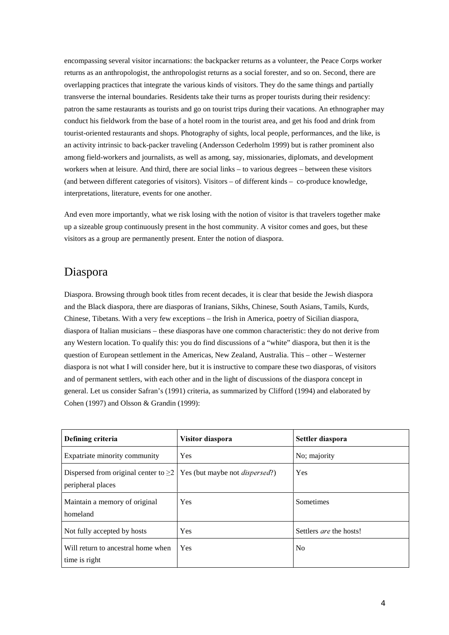encompassing several visitor incarnations: the backpacker returns as a volunteer, the Peace Corps worker returns as an anthropologist, the anthropologist returns as a social forester, and so on. Second, there are overlapping practices that integrate the various kinds of visitors. They do the same things and partially transverse the internal boundaries. Residents take their turns as proper tourists during their residency: patron the same restaurants as tourists and go on tourist trips during their vacations. An ethnographer may conduct his fieldwork from the base of a hotel room in the tourist area, and get his food and drink from tourist-oriented restaurants and shops. Photography of sights, local people, performances, and the like, is an activity intrinsic to back-packer traveling (Andersson Cederholm 1999) but is rather prominent also among field-workers and journalists, as well as among, say, missionaries, diplomats, and development workers when at leisure. And third, there are social links – to various degrees – between these visitors (and between different categories of visitors). Visitors – of different kinds – co-produce knowledge, interpretations, literature, events for one another.

And even more importantly, what we risk losing with the notion of visitor is that travelers together make up a sizeable group continuously present in the host community. A visitor comes and goes, but these visitors as a group are permanently present. Enter the notion of diaspora.

### Diaspora

Diaspora. Browsing through book titles from recent decades, it is clear that beside the Jewish diaspora and the Black diaspora, there are diasporas of Iranians, Sikhs, Chinese, South Asians, Tamils, Kurds, Chinese, Tibetans. With a very few exceptions – the Irish in America, poetry of Sicilian diaspora, diaspora of Italian musicians – these diasporas have one common characteristic: they do not derive from any Western location. To qualify this: you do find discussions of a "white" diaspora, but then it is the question of European settlement in the Americas, New Zealand, Australia. This – other – Westerner diaspora is not what I will consider here, but it is instructive to compare these two diasporas, of visitors and of permanent settlers, with each other and in the light of discussions of the diaspora concept in general. Let us consider Safran's (1991) criteria, as summarized by Clifford (1994) and elaborated by Cohen (1997) and Olsson & Grandin (1999):

| Defining criteria                                                                                      | Visitor diaspora | Settler diaspora               |
|--------------------------------------------------------------------------------------------------------|------------------|--------------------------------|
| Expatriate minority community                                                                          | Yes              | No; majority                   |
| Dispersed from original center to $\geq$   Yes (but maybe not <i>dispersed</i> ?)<br>peripheral places |                  | Yes                            |
| Maintain a memory of original<br>homeland                                                              | Yes              | Sometimes                      |
| Not fully accepted by hosts                                                                            | Yes              | Settlers <i>are</i> the hosts! |
| Will return to ancestral home when<br>time is right                                                    | Yes              | N <sub>0</sub>                 |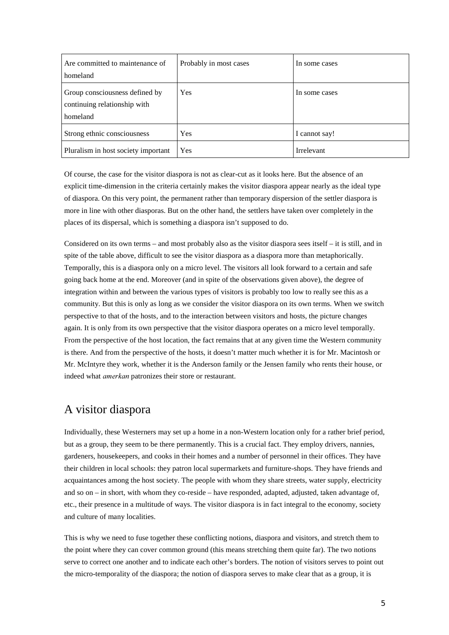| Are committed to maintenance of<br>homeland                                | Probably in most cases | In some cases |
|----------------------------------------------------------------------------|------------------------|---------------|
| Group consciousness defined by<br>continuing relationship with<br>homeland | Yes                    | In some cases |
| Strong ethnic consciousness                                                | <b>Yes</b>             | I cannot say! |
| Pluralism in host society important                                        | Yes                    | Irrelevant    |

Of course, the case for the visitor diaspora is not as clear-cut as it looks here. But the absence of an explicit time-dimension in the criteria certainly makes the visitor diaspora appear nearly as the ideal type of diaspora. On this very point, the permanent rather than temporary dispersion of the settler diaspora is more in line with other diasporas. But on the other hand, the settlers have taken over completely in the places of its dispersal, which is something a diaspora isn't supposed to do.

Considered on its own terms – and most probably also as the visitor diaspora sees itself – it is still, and in spite of the table above, difficult to see the visitor diaspora as a diaspora more than metaphorically. Temporally, this is a diaspora only on a micro level. The visitors all look forward to a certain and safe going back home at the end. Moreover (and in spite of the observations given above), the degree of integration within and between the various types of visitors is probably too low to really see this as a community. But this is only as long as we consider the visitor diaspora on its own terms. When we switch perspective to that of the hosts, and to the interaction between visitors and hosts, the picture changes again. It is only from its own perspective that the visitor diaspora operates on a micro level temporally. From the perspective of the host location, the fact remains that at any given time the Western community is there. And from the perspective of the hosts, it doesn't matter much whether it is for Mr. Macintosh or Mr. McIntyre they work, whether it is the Anderson family or the Jensen family who rents their house, or indeed what *amerkan* patronizes their store or restaurant.

# A visitor diaspora

Individually, these Westerners may set up a home in a non-Western location only for a rather brief period, but as a group, they seem to be there permanently. This is a crucial fact. They employ drivers, nannies, gardeners, housekeepers, and cooks in their homes and a number of personnel in their offices. They have their children in local schools: they patron local supermarkets and furniture-shops. They have friends and acquaintances among the host society. The people with whom they share streets, water supply, electricity and so on – in short, with whom they co-reside – have responded, adapted, adjusted, taken advantage of, etc., their presence in a multitude of ways. The visitor diaspora is in fact integral to the economy, society and culture of many localities.

This is why we need to fuse together these conflicting notions, diaspora and visitors, and stretch them to the point where they can cover common ground (this means stretching them quite far). The two notions serve to correct one another and to indicate each other's borders. The notion of visitors serves to point out the micro-temporality of the diaspora; the notion of diaspora serves to make clear that as a group, it is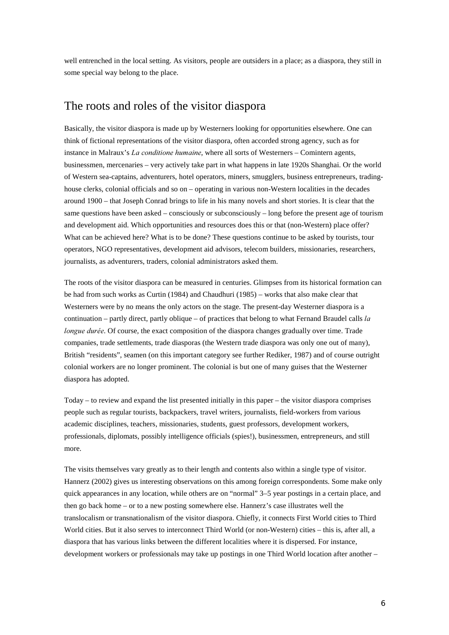well entrenched in the local setting. As visitors, people are outsiders in a place; as a diaspora, they still in some special way belong to the place.

### The roots and roles of the visitor diaspora

Basically, the visitor diaspora is made up by Westerners looking for opportunities elsewhere. One can think of fictional representations of the visitor diaspora, often accorded strong agency, such as for instance in Malraux's La conditione humaine, where all sorts of Westerners - Comintern agents, businessmen, mercenaries – very actively take part in what happens in late 1920s Shanghai. Or the world of Western sea-captains, adventurers, hotel operators, miners, smugglers, business entrepreneurs, tradinghouse clerks, colonial officials and so on – operating in various non-Western localities in the decades around 1900 – that Joseph Conrad brings to life in his many novels and short stories. It is clear that the same questions have been asked – consciously or subconsciously – long before the present age of tourism and development aid. Which opportunities and resources does this or that (non-Western) place offer? What can be achieved here? What is to be done? These questions continue to be asked by tourists, tour operators, NGO representatives, development aid advisors, telecom builders, missionaries, researchers, journalists, as adventurers, traders, colonial administrators asked them.

The roots of the visitor diaspora can be measured in centuries. Glimpses from its historical formation can be had from such works as Curtin (1984) and Chaudhuri (1985) – works that also make clear that Westerners were by no means the only actors on the stage. The present-day Westerner diaspora is a continuation – partly direct, partly oblique – of practices that belong to what Fernand Braudel calls  $la$ longue durée. Of course, the exact composition of the diaspora changes gradually over time. Trade companies, trade settlements, trade diasporas (the Western trade diaspora was only one out of many), British "residents", seamen (on this important category see further Rediker, 1987) and of course outright colonial workers are no longer prominent. The colonial is but one of many guises that the Westerner diaspora has adopted.

Today – to review and expand the list presented initially in this paper – the visitor diaspora comprises people such as regular tourists, backpackers, travel writers, journalists, field-workers from various academic disciplines, teachers, missionaries, students, guest professors, development workers, professionals, diplomats, possibly intelligence officials (spies!), businessmen, entrepreneurs, and still more.

The visits themselves vary greatly as to their length and contents also within a single type of visitor. Hannerz (2002) gives us interesting observations on this among foreign correspondents. Some make only quick appearances in any location, while others are on "normal" 3–5 year postings in a certain place, and then go back home – or to a new posting somewhere else. Hannerz's case illustrates well the translocalism or transnationalism of the visitor diaspora. Chiefly, it connects First World cities to Third World cities. But it also serves to interconnect Third World (or non-Western) cities – this is, after all, a diaspora that has various links between the different localities where it is dispersed. For instance, development workers or professionals may take up postings in one Third World location after another –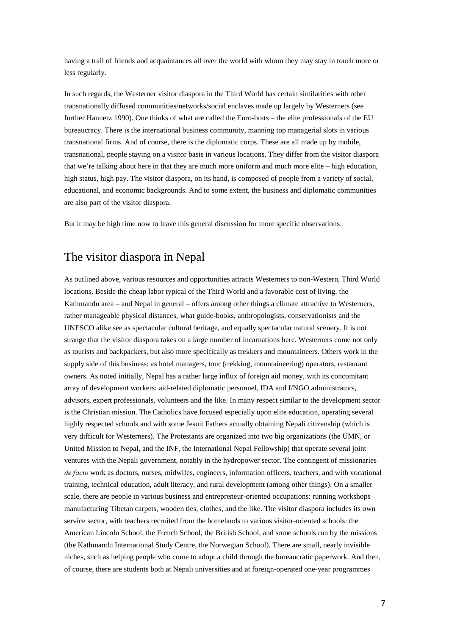having a trail of friends and acquaintances all over the world with whom they may stay in touch more or less regularly.

In such regards, the Westerner visitor diaspora in the Third World has certain similarities with other transnationally diffused communities/networks/social enclaves made up largely by Westerners (see further Hannerz 1990). One thinks of what are called the Euro-brats – the elite professionals of the EU bureaucracy. There is the international business community, manning top managerial slots in various transnational firms. And of course, there is the diplomatic corps. These are all made up by mobile, transnational, people staying on a visitor basis in various locations. They differ from the visitor diaspora that we're talking about here in that they are much more uniform and much more elite – high education, high status, high pay. The visitor diaspora, on its hand, is composed of people from a variety of social, educational, and economic backgrounds. And to some extent, the business and diplomatic communities are also part of the visitor diaspora.

But it may be high time now to leave this general discussion for more specific observations.

### The visitor diaspora in Nepal

As outlined above, various resources and opportunities attracts Westerners to non-Western, Third World locations. Beside the cheap labor typical of the Third World and a favorable cost of living, the Kathmandu area – and Nepal in general – offers among other things a climate attractive to Westerners, rather manageable physical distances, what guide-books, anthropologists, conservationists and the UNESCO alike see as spectacular cultural heritage, and equally spectacular natural scenery. It is not strange that the visitor diaspora takes on a large number of incarnations here. Westerners come not only as tourists and backpackers, but also more specifically as trekkers and mountaineers. Others work in the supply side of this business: as hotel managers, tour (trekking, mountaineering) operators, restaurant owners. As noted initially, Nepal has a rather large influx of foreign aid money, with its concomitant array of development workers: aid-related diplomatic personnel, IDA and I/NGO administrators, advisors, expert professionals, volunteers and the like. In many respect similar to the development sector is the Christian mission. The Catholics have focused especially upon elite education, operating several highly respected schools and with some Jesuit Fathers actually obtaining Nepali citizenship (which is very difficult for Westerners). The Protestants are organized into two big organizations (the UMN, or United Mission to Nepal, and the INF, the International Nepal Fellowship) that operate several joint ventures with the Nepali government, notably in the hydropower sector. The contingent of missionaries de facto work as doctors, nurses, midwifes, engineers, information officers, teachers, and with vocational training, technical education, adult literacy, and rural development (among other things). On a smaller scale, there are people in various business and entrepreneur-oriented occupations: running workshops manufacturing Tibetan carpets, wooden ties, clothes, and the like. The visitor diaspora includes its own service sector, with teachers recruited from the homelands to various visitor-oriented schools: the American Lincoln School, the French School, the British School, and some schools run by the missions (the Kathmandu International Study Centre, the Norwegian School). There are small, nearly invisible niches, such as helping people who come to adopt a child through the bureaucratic paperwork. And then, of course, there are students both at Nepali universities and at foreign-operated one-year programmes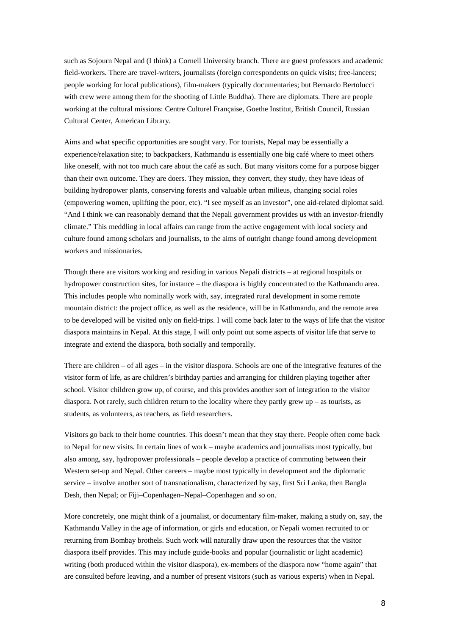such as Sojourn Nepal and (I think) a Cornell University branch. There are guest professors and academic field-workers. There are travel-writers, journalists (foreign correspondents on quick visits; free-lancers; people working for local publications), film-makers (typically documentaries; but Bernardo Bertolucci with crew were among them for the shooting of Little Buddha). There are diplomats. There are people working at the cultural missions: Centre Culturel Française, Goethe Institut, British Council, Russian Cultural Center, American Library.

Aims and what specific opportunities are sought vary. For tourists, Nepal may be essentially a experience/relaxation site; to backpackers, Kathmandu is essentially one big café where to meet others like oneself, with not too much care about the café as such. But many visitors come for a purpose bigger than their own outcome. They are doers. They mission, they convert, they study, they have ideas of building hydropower plants, conserving forests and valuable urban milieus, changing social roles (empowering women, uplifting the poor, etc). "I see myself as an investor", one aid-related diplomat said. "And I think we can reasonably demand that the Nepali government provides us with an investor-friendly climate." This meddling in local affairs can range from the active engagement with local society and culture found among scholars and journalists, to the aims of outright change found among development workers and missionaries.

Though there are visitors working and residing in various Nepali districts – at regional hospitals or hydropower construction sites, for instance – the diaspora is highly concentrated to the Kathmandu area. This includes people who nominally work with, say, integrated rural development in some remote mountain district: the project office, as well as the residence, will be in Kathmandu, and the remote area to be developed will be visited only on field-trips. I will come back later to the ways of life that the visitor diaspora maintains in Nepal. At this stage, I will only point out some aspects of visitor life that serve to integrate and extend the diaspora, both socially and temporally.

There are children – of all ages – in the visitor diaspora. Schools are one of the integrative features of the visitor form of life, as are children's birthday parties and arranging for children playing together after school. Visitor children grow up, of course, and this provides another sort of integration to the visitor diaspora. Not rarely, such children return to the locality where they partly grew up – as tourists, as students, as volunteers, as teachers, as field researchers.

Visitors go back to their home countries. This doesn't mean that they stay there. People often come back to Nepal for new visits. In certain lines of work – maybe academics and journalists most typically, but also among, say, hydropower professionals – people develop a practice of commuting between their Western set-up and Nepal. Other careers – maybe most typically in development and the diplomatic service – involve another sort of transnationalism, characterized by say, first Sri Lanka, then Bangla Desh, then Nepal; or Fiji–Copenhagen–Nepal–Copenhagen and so on.

More concretely, one might think of a journalist, or documentary film-maker, making a study on, say, the Kathmandu Valley in the age of information, or girls and education, or Nepali women recruited to or returning from Bombay brothels. Such work will naturally draw upon the resources that the visitor diaspora itself provides. This may include guide-books and popular (journalistic or light academic) writing (both produced within the visitor diaspora), ex-members of the diaspora now "home again" that are consulted before leaving, and a number of present visitors (such as various experts) when in Nepal.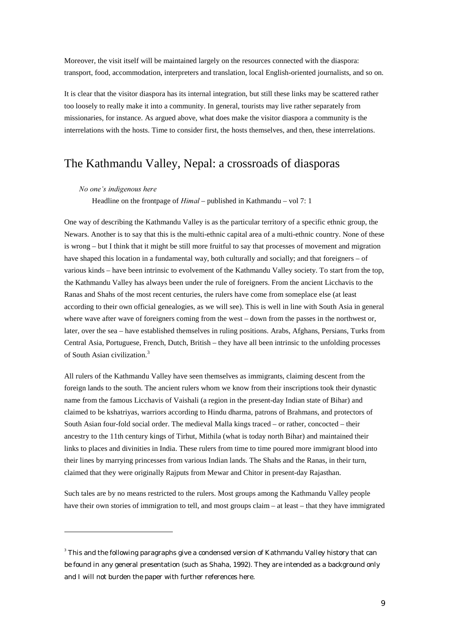Moreover, the visit itself will be maintained largely on the resources connected with the diaspora: transport, food, accommodation, interpreters and translation, local English-oriented journalists, and so on.

It is clear that the visitor diaspora has its internal integration, but still these links may be scattered rather too loosely to really make it into a community. In general, tourists may live rather separately from missionaries, for instance. As argued above, what does make the visitor diaspora a community is the interrelations with the hosts. Time to consider first, the hosts themselves, and then, these interrelations.

## The Kathmandu Valley, Nepal: a crossroads of diasporas

#### No one's indigenous here

-

Headline on the frontpage of  $Himal$  – published in Kathmandu – vol 7: 1

One way of describing the Kathmandu Valley is as the particular territory of a specific ethnic group, the Newars. Another is to say that this is the multi-ethnic capital area of a multi-ethnic country. None of these is wrong – but I think that it might be still more fruitful to say that processes of movement and migration have shaped this location in a fundamental way, both culturally and socially; and that foreigners – of various kinds – have been intrinsic to evolvement of the Kathmandu Valley society. To start from the top, the Kathmandu Valley has always been under the rule of foreigners. From the ancient Licchavis to the Ranas and Shahs of the most recent centuries, the rulers have come from someplace else (at least according to their own official genealogies, as we will see). This is well in line with South Asia in general where wave after wave of foreigners coming from the west – down from the passes in the northwest or, later, over the sea – have established themselves in ruling positions. Arabs, Afghans, Persians, Turks from Central Asia, Portuguese, French, Dutch, British – they have all been intrinsic to the unfolding processes of South Asian civilization.<sup>3</sup>

All rulers of the Kathmandu Valley have seen themselves as immigrants, claiming descent from the foreign lands to the south. The ancient rulers whom we know from their inscriptions took their dynastic name from the famous Licchavis of Vaishali (a region in the present-day Indian state of Bihar) and claimed to be kshatriyas, warriors according to Hindu dharma, patrons of Brahmans, and protectors of South Asian four-fold social order. The medieval Malla kings traced – or rather, concocted – their ancestry to the 11th century kings of Tirhut, Mithila (what is today north Bihar) and maintained their links to places and divinities in India. These rulers from time to time poured more immigrant blood into their lines by marrying princesses from various Indian lands. The Shahs and the Ranas, in their turn, claimed that they were originally Rajputs from Mewar and Chitor in present-day Rajasthan.

Such tales are by no means restricted to the rulers. Most groups among the Kathmandu Valley people have their own stories of immigration to tell, and most groups claim – at least – that they have immigrated

 $^3$  This and the following paragraphs give a condensed version of Kathmandu Valley history that can be found in any general presentation (such as Shaha, 1992). They are intended as a background only and I will not burden the paper with further references here.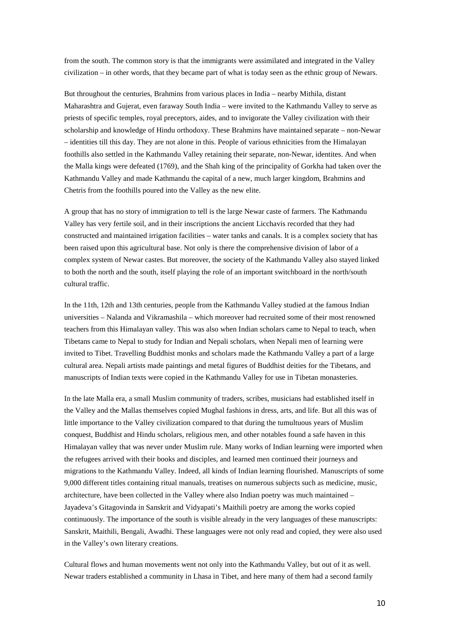from the south. The common story is that the immigrants were assimilated and integrated in the Valley civilization – in other words, that they became part of what is today seen as the ethnic group of Newars.

But throughout the centuries, Brahmins from various places in India – nearby Mithila, distant Maharashtra and Gujerat, even faraway South India – were invited to the Kathmandu Valley to serve as priests of specific temples, royal preceptors, aides, and to invigorate the Valley civilization with their scholarship and knowledge of Hindu orthodoxy. These Brahmins have maintained separate – non-Newar – identities till this day. They are not alone in this. People of various ethnicities from the Himalayan foothills also settled in the Kathmandu Valley retaining their separate, non-Newar, identites. And when the Malla kings were defeated (1769), and the Shah king of the principality of Gorkha had taken over the Kathmandu Valley and made Kathmandu the capital of a new, much larger kingdom, Brahmins and Chetris from the foothills poured into the Valley as the new elite.

A group that has no story of immigration to tell is the large Newar caste of farmers. The Kathmandu Valley has very fertile soil, and in their inscriptions the ancient Licchavis recorded that they had constructed and maintained irrigation facilities – water tanks and canals. It is a complex society that has been raised upon this agricultural base. Not only is there the comprehensive division of labor of a complex system of Newar castes. But moreover, the society of the Kathmandu Valley also stayed linked to both the north and the south, itself playing the role of an important switchboard in the north/south cultural traffic.

In the 11th, 12th and 13th centuries, people from the Kathmandu Valley studied at the famous Indian universities – Nalanda and Vikramashila – which moreover had recruited some of their most renowned teachers from this Himalayan valley. This was also when Indian scholars came to Nepal to teach, when Tibetans came to Nepal to study for Indian and Nepali scholars, when Nepali men of learning were invited to Tibet. Travelling Buddhist monks and scholars made the Kathmandu Valley a part of a large cultural area. Nepali artists made paintings and metal figures of Buddhist deities for the Tibetans, and manuscripts of Indian texts were copied in the Kathmandu Valley for use in Tibetan monasteries.

In the late Malla era, a small Muslim community of traders, scribes, musicians had established itself in the Valley and the Mallas themselves copied Mughal fashions in dress, arts, and life. But all this was of little importance to the Valley civilization compared to that during the tumultuous years of Muslim conquest, Buddhist and Hindu scholars, religious men, and other notables found a safe haven in this Himalayan valley that was never under Muslim rule. Many works of Indian learning were imported when the refugees arrived with their books and disciples, and learned men continued their journeys and migrations to the Kathmandu Valley. Indeed, all kinds of Indian learning flourished. Manuscripts of some 9,000 different titles containing ritual manuals, treatises on numerous subjects such as medicine, music, architecture, have been collected in the Valley where also Indian poetry was much maintained – Jayadeva's Gitagovinda in Sanskrit and Vidyapati's Maithili poetry are among the works copied continuously. The importance of the south is visible already in the very languages of these manuscripts: Sanskrit, Maithili, Bengali, Awadhi. These languages were not only read and copied, they were also used in the Valley's own literary creations.

Cultural flows and human movements went not only into the Kathmandu Valley, but out of it as well. Newar traders established a community in Lhasa in Tibet, and here many of them had a second family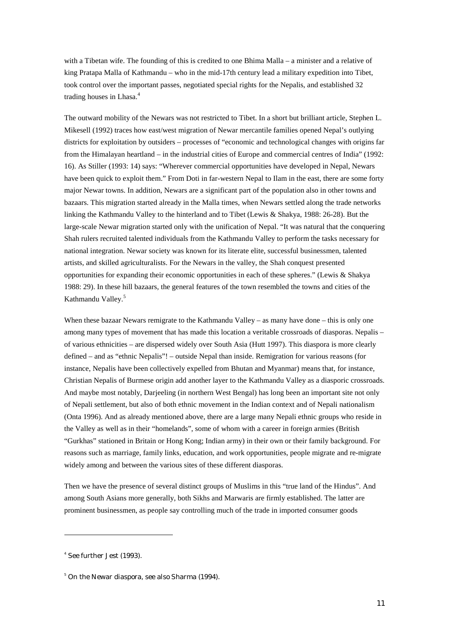with a Tibetan wife. The founding of this is credited to one Bhima Malla – a minister and a relative of king Pratapa Malla of Kathmandu – who in the mid-17th century lead a military expedition into Tibet, took control over the important passes, negotiated special rights for the Nepalis, and established 32 trading houses in Lhasa.<sup>4</sup>

The outward mobility of the Newars was not restricted to Tibet. In a short but brilliant article, Stephen L. Mikesell (1992) traces how east/west migration of Newar mercantile families opened Nepal's outlying districts for exploitation by outsiders – processes of "economic and technological changes with origins far from the Himalayan heartland – in the industrial cities of Europe and commercial centres of India" (1992: 16). As Stiller (1993: 14) says: "Wherever commercial opportunities have developed in Nepal, Newars have been quick to exploit them." From Doti in far-western Nepal to Ilam in the east, there are some forty major Newar towns. In addition, Newars are a significant part of the population also in other towns and bazaars. This migration started already in the Malla times, when Newars settled along the trade networks linking the Kathmandu Valley to the hinterland and to Tibet (Lewis & Shakya, 1988: 26-28). But the large-scale Newar migration started only with the unification of Nepal. "It was natural that the conquering Shah rulers recruited talented individuals from the Kathmandu Valley to perform the tasks necessary for national integration. Newar society was known for its literate elite, successful businessmen, talented artists, and skilled agriculturalists. For the Newars in the valley, the Shah conquest presented opportunities for expanding their economic opportunities in each of these spheres." (Lewis & Shakya 1988: 29). In these hill bazaars, the general features of the town resembled the towns and cities of the Kathmandu Valley.<sup>5</sup>

When these bazaar Newars remigrate to the Kathmandu Valley – as many have done – this is only one among many types of movement that has made this location a veritable crossroads of diasporas. Nepalis – of various ethnicities – are dispersed widely over South Asia (Hutt 1997). This diaspora is more clearly defined – and as "ethnic Nepalis"! – outside Nepal than inside. Remigration for various reasons (for instance, Nepalis have been collectively expelled from Bhutan and Myanmar) means that, for instance, Christian Nepalis of Burmese origin add another layer to the Kathmandu Valley as a diasporic crossroads. And maybe most notably, Darjeeling (in northern West Bengal) has long been an important site not only of Nepali settlement, but also of both ethnic movement in the Indian context and of Nepali nationalism (Onta 1996). And as already mentioned above, there are a large many Nepali ethnic groups who reside in the Valley as well as in their "homelands", some of whom with a career in foreign armies (British "Gurkhas" stationed in Britain or Hong Kong; Indian army) in their own or their family background. For reasons such as marriage, family links, education, and work opportunities, people migrate and re-migrate widely among and between the various sites of these different diasporas.

Then we have the presence of several distinct groups of Muslims in this "true land of the Hindus". And among South Asians more generally, both Sikhs and Marwaris are firmly established. The latter are prominent businessmen, as people say controlling much of the trade in imported consumer goods

-

<sup>4</sup> See further Jest (1993).

<sup>5</sup> On the Newar diaspora, see also Sharma (1994).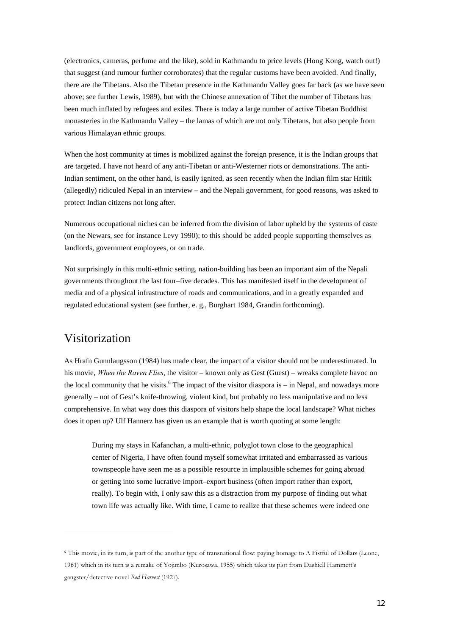(electronics, cameras, perfume and the like), sold in Kathmandu to price levels (Hong Kong, watch out!) that suggest (and rumour further corroborates) that the regular customs have been avoided. And finally, there are the Tibetans. Also the Tibetan presence in the Kathmandu Valley goes far back (as we have seen above; see further Lewis, 1989), but with the Chinese annexation of Tibet the number of Tibetans has been much inflated by refugees and exiles. There is today a large number of active Tibetan Buddhist monasteries in the Kathmandu Valley – the lamas of which are not only Tibetans, but also people from various Himalayan ethnic groups.

When the host community at times is mobilized against the foreign presence, it is the Indian groups that are targeted. I have not heard of any anti-Tibetan or anti-Westerner riots or demonstrations. The anti-Indian sentiment, on the other hand, is easily ignited, as seen recently when the Indian film star Hritik (allegedly) ridiculed Nepal in an interview – and the Nepali government, for good reasons, was asked to protect Indian citizens not long after.

Numerous occupational niches can be inferred from the division of labor upheld by the systems of caste (on the Newars, see for instance Levy 1990); to this should be added people supporting themselves as landlords, government employees, or on trade.

Not surprisingly in this multi-ethnic setting, nation-building has been an important aim of the Nepali governments throughout the last four–five decades. This has manifested itself in the development of media and of a physical infrastructure of roads and communications, and in a greatly expanded and regulated educational system (see further, e. g., Burghart 1984, Grandin forthcoming).

## Visitorization

-

As Hrafn Gunnlaugsson (1984) has made clear, the impact of a visitor should not be underestimated. In his movie, When the Raven Flies, the visitor – known only as Gest (Guest) – wreaks complete havoc on the local community that he visits.<sup>6</sup> The impact of the visitor diaspora is  $-$  in Nepal, and nowadays more generally – not of Gest's knife-throwing, violent kind, but probably no less manipulative and no less comprehensive. In what way does this diaspora of visitors help shape the local landscape? What niches does it open up? Ulf Hannerz has given us an example that is worth quoting at some length:

During my stays in Kafanchan, a multi-ethnic, polyglot town close to the geographical center of Nigeria, I have often found myself somewhat irritated and embarrassed as various townspeople have seen me as a possible resource in implausible schemes for going abroad or getting into some lucrative import–export business (often import rather than export, really). To begin with, I only saw this as a distraction from my purpose of finding out what town life was actually like. With time, I came to realize that these schemes were indeed one

<sup>&</sup>lt;sup>6</sup> This movie, in its turn, is part of the another type of transnational flow: paying homage to A Fistful of Dollars (Leone, 1961) which in its turn is a remake of Yojimbo (Kurosawa, 1955) which takes its plot from Dashiell Hammett's gangster/detective novel Red Harvest (1927).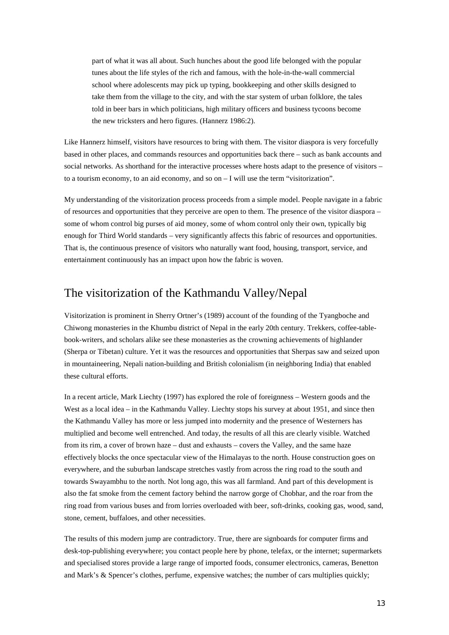part of what it was all about. Such hunches about the good life belonged with the popular tunes about the life styles of the rich and famous, with the hole-in-the-wall commercial school where adolescents may pick up typing, bookkeeping and other skills designed to take them from the village to the city, and with the star system of urban folklore, the tales told in beer bars in which politicians, high military officers and business tycoons become the new tricksters and hero figures. (Hannerz 1986:2).

Like Hannerz himself, visitors have resources to bring with them. The visitor diaspora is very forcefully based in other places, and commands resources and opportunities back there – such as bank accounts and social networks. As shorthand for the interactive processes where hosts adapt to the presence of visitors – to a tourism economy, to an aid economy, and so on  $-I$  will use the term "visitorization".

My understanding of the visitorization process proceeds from a simple model. People navigate in a fabric of resources and opportunities that they perceive are open to them. The presence of the visitor diaspora – some of whom control big purses of aid money, some of whom control only their own, typically big enough for Third World standards – very significantly affects this fabric of resources and opportunities. That is, the continuous presence of visitors who naturally want food, housing, transport, service, and entertainment continuously has an impact upon how the fabric is woven.

## The visitorization of the Kathmandu Valley/Nepal

Visitorization is prominent in Sherry Ortner's (1989) account of the founding of the Tyangboche and Chiwong monasteries in the Khumbu district of Nepal in the early 20th century. Trekkers, coffee-tablebook-writers, and scholars alike see these monasteries as the crowning achievements of highlander (Sherpa or Tibetan) culture. Yet it was the resources and opportunities that Sherpas saw and seized upon in mountaineering, Nepali nation-building and British colonialism (in neighboring India) that enabled these cultural efforts.

In a recent article, Mark Liechty (1997) has explored the role of foreignness – Western goods and the West as a local idea – in the Kathmandu Valley. Liechty stops his survey at about 1951, and since then the Kathmandu Valley has more or less jumped into modernity and the presence of Westerners has multiplied and become well entrenched. And today, the results of all this are clearly visible. Watched from its rim, a cover of brown haze – dust and exhausts – covers the Valley, and the same haze effectively blocks the once spectacular view of the Himalayas to the north. House construction goes on everywhere, and the suburban landscape stretches vastly from across the ring road to the south and towards Swayambhu to the north. Not long ago, this was all farmland. And part of this development is also the fat smoke from the cement factory behind the narrow gorge of Chobhar, and the roar from the ring road from various buses and from lorries overloaded with beer, soft-drinks, cooking gas, wood, sand, stone, cement, buffaloes, and other necessities.

The results of this modern jump are contradictory. True, there are signboards for computer firms and desk-top-publishing everywhere; you contact people here by phone, telefax, or the internet; supermarkets and specialised stores provide a large range of imported foods, consumer electronics, cameras, Benetton and Mark's & Spencer's clothes, perfume, expensive watches; the number of cars multiplies quickly;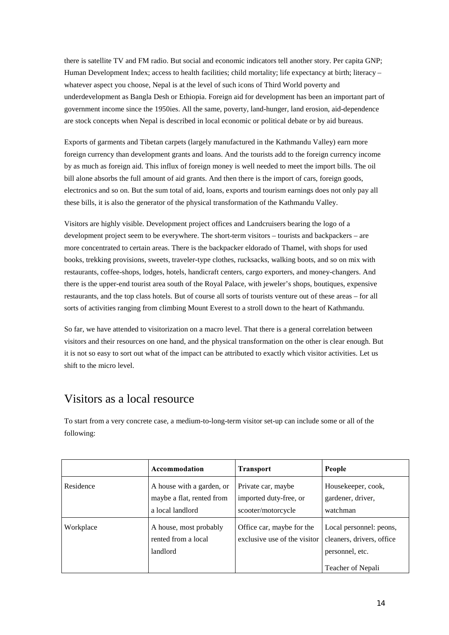there is satellite TV and FM radio. But social and economic indicators tell another story. Per capita GNP; Human Development Index; access to health facilities; child mortality; life expectancy at birth; literacy – whatever aspect you choose, Nepal is at the level of such icons of Third World poverty and underdevelopment as Bangla Desh or Ethiopia. Foreign aid for development has been an important part of government income since the 1950ies. All the same, poverty, land-hunger, land erosion, aid-dependence are stock concepts when Nepal is described in local economic or political debate or by aid bureaus.

Exports of garments and Tibetan carpets (largely manufactured in the Kathmandu Valley) earn more foreign currency than development grants and loans. And the tourists add to the foreign currency income by as much as foreign aid. This influx of foreign money is well needed to meet the import bills. The oil bill alone absorbs the full amount of aid grants. And then there is the import of cars, foreign goods, electronics and so on. But the sum total of aid, loans, exports and tourism earnings does not only pay all these bills, it is also the generator of the physical transformation of the Kathmandu Valley.

Visitors are highly visible. Development project offices and Landcruisers bearing the logo of a development project seem to be everywhere. The short-term visitors – tourists and backpackers – are more concentrated to certain areas. There is the backpacker eldorado of Thamel, with shops for used books, trekking provisions, sweets, traveler-type clothes, rucksacks, walking boots, and so on mix with restaurants, coffee-shops, lodges, hotels, handicraft centers, cargo exporters, and money-changers. And there is the upper-end tourist area south of the Royal Palace, with jeweler's shops, boutiques, expensive restaurants, and the top class hotels. But of course all sorts of tourists venture out of these areas – for all sorts of activities ranging from climbing Mount Everest to a stroll down to the heart of Kathmandu.

So far, we have attended to visitorization on a macro level. That there is a general correlation between visitors and their resources on one hand, and the physical transformation on the other is clear enough. But it is not so easy to sort out what of the impact can be attributed to exactly which visitor activities. Let us shift to the micro level.

# Visitors as a local resource

To start from a very concrete case, a medium-to-long-term visitor set-up can include some or all of the following:

|           | Accommodation                                                              | <b>Transport</b>                                                   | People                                                                                       |
|-----------|----------------------------------------------------------------------------|--------------------------------------------------------------------|----------------------------------------------------------------------------------------------|
| Residence | A house with a garden, or<br>maybe a flat, rented from<br>a local landlord | Private car, maybe<br>imported duty-free, or<br>scooter/motorcycle | Housekeeper, cook,<br>gardener, driver,<br>watchman                                          |
| Workplace | A house, most probably<br>rented from a local<br>landlord                  | Office car, maybe for the<br>exclusive use of the visitor          | Local personnel: peons,<br>cleaners, drivers, office<br>personnel, etc.<br>Teacher of Nepali |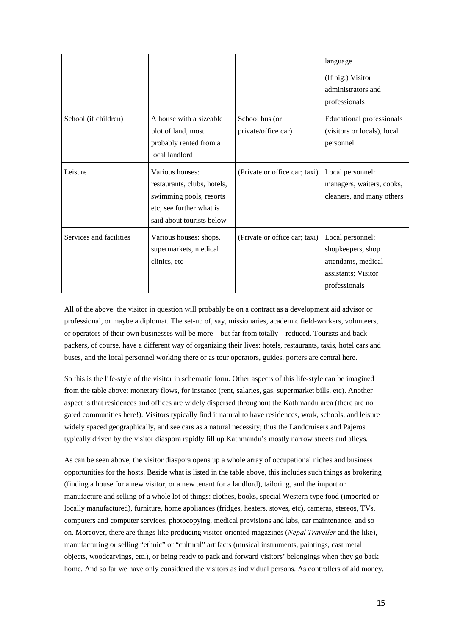|                         |                                                                                                                                    |                                       | language<br>(If big:) Visitor<br>administrators and<br>professionals                                 |
|-------------------------|------------------------------------------------------------------------------------------------------------------------------------|---------------------------------------|------------------------------------------------------------------------------------------------------|
| School (if children)    | A house with a sizeable<br>plot of land, most<br>probably rented from a<br>local landlord                                          | School bus (or<br>private/office car) | <b>Educational professionals</b><br>(visitors or locals), local<br>personnel                         |
| Leisure                 | Various houses:<br>restaurants, clubs, hotels,<br>swimming pools, resorts<br>etc; see further what is<br>said about tourists below | (Private or office car; taxi)         | Local personnel:<br>managers, waiters, cooks,<br>cleaners, and many others                           |
| Services and facilities | Various houses: shops,<br>supermarkets, medical<br>clinics, etc                                                                    | (Private or office car; taxi)         | Local personnel:<br>shopkeepers, shop<br>attendants, medical<br>assistants; Visitor<br>professionals |

All of the above: the visitor in question will probably be on a contract as a development aid advisor or professional, or maybe a diplomat. The set-up of, say, missionaries, academic field-workers, volunteers, or operators of their own businesses will be more – but far from totally – reduced. Tourists and backpackers, of course, have a different way of organizing their lives: hotels, restaurants, taxis, hotel cars and buses, and the local personnel working there or as tour operators, guides, porters are central here.

So this is the life-style of the visitor in schematic form. Other aspects of this life-style can be imagined from the table above: monetary flows, for instance (rent, salaries, gas, supermarket bills, etc). Another aspect is that residences and offices are widely dispersed throughout the Kathmandu area (there are no gated communities here!). Visitors typically find it natural to have residences, work, schools, and leisure widely spaced geographically, and see cars as a natural necessity; thus the Landcruisers and Pajeros typically driven by the visitor diaspora rapidly fill up Kathmandu's mostly narrow streets and alleys.

As can be seen above, the visitor diaspora opens up a whole array of occupational niches and business opportunities for the hosts. Beside what is listed in the table above, this includes such things as brokering (finding a house for a new visitor, or a new tenant for a landlord), tailoring, and the import or manufacture and selling of a whole lot of things: clothes, books, special Western-type food (imported or locally manufactured), furniture, home appliances (fridges, heaters, stoves, etc), cameras, stereos, TVs, computers and computer services, photocopying, medical provisions and labs, car maintenance, and so on. Moreover, there are things like producing visitor-oriented magazines (Nepal Traveller and the like), manufacturing or selling "ethnic" or "cultural" artifacts (musical instruments, paintings, cast metal objects, woodcarvings, etc.), or being ready to pack and forward visitors' belongings when they go back home. And so far we have only considered the visitors as individual persons. As controllers of aid money,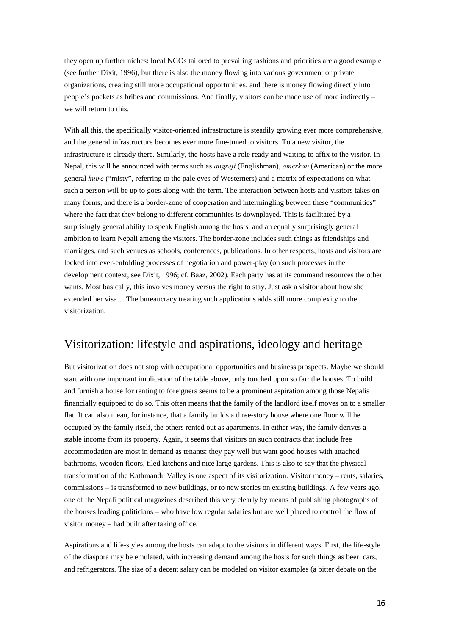they open up further niches: local NGOs tailored to prevailing fashions and priorities are a good example (see further Dixit, 1996), but there is also the money flowing into various government or private organizations, creating still more occupational opportunities, and there is money flowing directly into people's pockets as bribes and commissions. And finally, visitors can be made use of more indirectly – we will return to this.

With all this, the specifically visitor-oriented infrastructure is steadily growing ever more comprehensive, and the general infrastructure becomes ever more fine-tuned to visitors. To a new visitor, the infrastructure is already there. Similarly, the hosts have a role ready and waiting to affix to the visitor. In Nepal, this will be announced with terms such as *angreji* (Englishman), *amerkan* (American) or the more general *kuire* ("misty", referring to the pale eyes of Westerners) and a matrix of expectations on what such a person will be up to goes along with the term. The interaction between hosts and visitors takes on many forms, and there is a border-zone of cooperation and intermingling between these "communities" where the fact that they belong to different communities is downplayed. This is facilitated by a surprisingly general ability to speak English among the hosts, and an equally surprisingly general ambition to learn Nepali among the visitors. The border-zone includes such things as friendships and marriages, and such venues as schools, conferences, publications. In other respects, hosts and visitors are locked into ever-enfolding processes of negotiation and power-play (on such processes in the development context, see Dixit, 1996; cf. Baaz, 2002). Each party has at its command resources the other wants. Most basically, this involves money versus the right to stay. Just ask a visitor about how she extended her visa… The bureaucracy treating such applications adds still more complexity to the visitorization.

### Visitorization: lifestyle and aspirations, ideology and heritage

But visitorization does not stop with occupational opportunities and business prospects. Maybe we should start with one important implication of the table above, only touched upon so far: the houses. To build and furnish a house for renting to foreigners seems to be a prominent aspiration among those Nepalis financially equipped to do so. This often means that the family of the landlord itself moves on to a smaller flat. It can also mean, for instance, that a family builds a three-story house where one floor will be occupied by the family itself, the others rented out as apartments. In either way, the family derives a stable income from its property. Again, it seems that visitors on such contracts that include free accommodation are most in demand as tenants: they pay well but want good houses with attached bathrooms, wooden floors, tiled kitchens and nice large gardens. This is also to say that the physical transformation of the Kathmandu Valley is one aspect of its visitorization. Visitor money – rents, salaries, commissions – is transformed to new buildings, or to new stories on existing buildings. A few years ago, one of the Nepali political magazines described this very clearly by means of publishing photographs of the houses leading politicians – who have low regular salaries but are well placed to control the flow of visitor money – had built after taking office.

Aspirations and life-styles among the hosts can adapt to the visitors in different ways. First, the life-style of the diaspora may be emulated, with increasing demand among the hosts for such things as beer, cars, and refrigerators. The size of a decent salary can be modeled on visitor examples (a bitter debate on the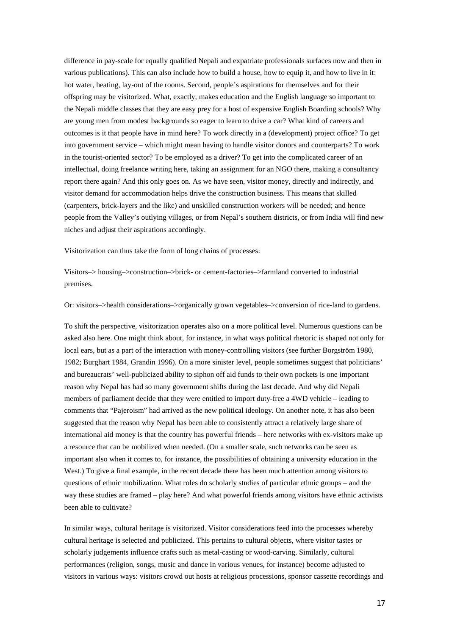difference in pay-scale for equally qualified Nepali and expatriate professionals surfaces now and then in various publications). This can also include how to build a house, how to equip it, and how to live in it: hot water, heating, lay-out of the rooms. Second, people's aspirations for themselves and for their offspring may be visitorized. What, exactly, makes education and the English language so important to the Nepali middle classes that they are easy prey for a host of expensive English Boarding schools? Why are young men from modest backgrounds so eager to learn to drive a car? What kind of careers and outcomes is it that people have in mind here? To work directly in a (development) project office? To get into government service – which might mean having to handle visitor donors and counterparts? To work in the tourist-oriented sector? To be employed as a driver? To get into the complicated career of an intellectual, doing freelance writing here, taking an assignment for an NGO there, making a consultancy report there again? And this only goes on. As we have seen, visitor money, directly and indirectly, and visitor demand for accommodation helps drive the construction business. This means that skilled (carpenters, brick-layers and the like) and unskilled construction workers will be needed; and hence people from the Valley's outlying villages, or from Nepal's southern districts, or from India will find new niches and adjust their aspirations accordingly.

Visitorization can thus take the form of long chains of processes:

Visitors–> housing–>construction–>brick- or cement-factories–>farmland converted to industrial premises.

Or: visitors–>health considerations–>organically grown vegetables–>conversion of rice-land to gardens.

To shift the perspective, visitorization operates also on a more political level. Numerous questions can be asked also here. One might think about, for instance, in what ways political rhetoric is shaped not only for local ears, but as a part of the interaction with money-controlling visitors (see further Borgström 1980, 1982; Burghart 1984, Grandin 1996). On a more sinister level, people sometimes suggest that politicians' and bureaucrats' well-publicized ability to siphon off aid funds to their own pockets is one important reason why Nepal has had so many government shifts during the last decade. And why did Nepali members of parliament decide that they were entitled to import duty-free a 4WD vehicle – leading to comments that "Pajeroism" had arrived as the new political ideology. On another note, it has also been suggested that the reason why Nepal has been able to consistently attract a relatively large share of international aid money is that the country has powerful friends – here networks with ex-visitors make up a resource that can be mobilized when needed. (On a smaller scale, such networks can be seen as important also when it comes to, for instance, the possibilities of obtaining a university education in the West.) To give a final example, in the recent decade there has been much attention among visitors to questions of ethnic mobilization. What roles do scholarly studies of particular ethnic groups – and the way these studies are framed – play here? And what powerful friends among visitors have ethnic activists been able to cultivate?

In similar ways, cultural heritage is visitorized. Visitor considerations feed into the processes whereby cultural heritage is selected and publicized. This pertains to cultural objects, where visitor tastes or scholarly judgements influence crafts such as metal-casting or wood-carving. Similarly, cultural performances (religion, songs, music and dance in various venues, for instance) become adjusted to visitors in various ways: visitors crowd out hosts at religious processions, sponsor cassette recordings and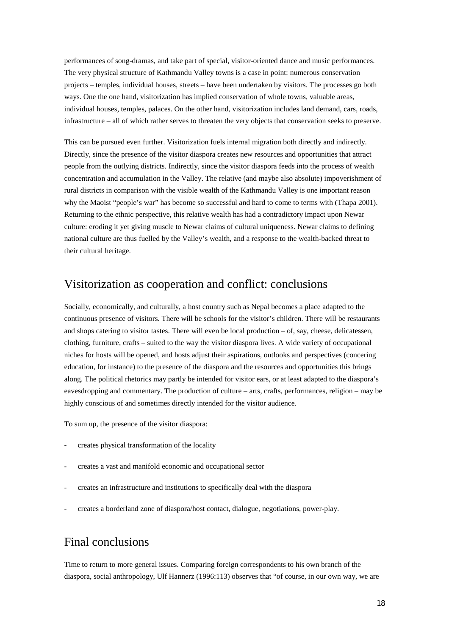performances of song-dramas, and take part of special, visitor-oriented dance and music performances. The very physical structure of Kathmandu Valley towns is a case in point: numerous conservation projects – temples, individual houses, streets – have been undertaken by visitors. The processes go both ways. One the one hand, visitorization has implied conservation of whole towns, valuable areas, individual houses, temples, palaces. On the other hand, visitorization includes land demand, cars, roads, infrastructure – all of which rather serves to threaten the very objects that conservation seeks to preserve.

This can be pursued even further. Visitorization fuels internal migration both directly and indirectly. Directly, since the presence of the visitor diaspora creates new resources and opportunities that attract people from the outlying districts. Indirectly, since the visitor diaspora feeds into the process of wealth concentration and accumulation in the Valley. The relative (and maybe also absolute) impoverishment of rural districts in comparison with the visible wealth of the Kathmandu Valley is one important reason why the Maoist "people's war" has become so successful and hard to come to terms with (Thapa 2001). Returning to the ethnic perspective, this relative wealth has had a contradictory impact upon Newar culture: eroding it yet giving muscle to Newar claims of cultural uniqueness. Newar claims to defining national culture are thus fuelled by the Valley's wealth, and a response to the wealth-backed threat to their cultural heritage.

## Visitorization as cooperation and conflict: conclusions

Socially, economically, and culturally, a host country such as Nepal becomes a place adapted to the continuous presence of visitors. There will be schools for the visitor's children. There will be restaurants and shops catering to visitor tastes. There will even be local production – of, say, cheese, delicatessen, clothing, furniture, crafts – suited to the way the visitor diaspora lives. A wide variety of occupational niches for hosts will be opened, and hosts adjust their aspirations, outlooks and perspectives (concering education, for instance) to the presence of the diaspora and the resources and opportunities this brings along. The political rhetorics may partly be intended for visitor ears, or at least adapted to the diaspora's eavesdropping and commentary. The production of culture – arts, crafts, performances, religion – may be highly conscious of and sometimes directly intended for the visitor audience.

To sum up, the presence of the visitor diaspora:

- creates physical transformation of the locality
- creates a vast and manifold economic and occupational sector
- creates an infrastructure and institutions to specifically deal with the diaspora
- creates a borderland zone of diaspora/host contact, dialogue, negotiations, power-play.

## Final conclusions

Time to return to more general issues. Comparing foreign correspondents to his own branch of the diaspora, social anthropology, Ulf Hannerz (1996:113) observes that "of course, in our own way, we are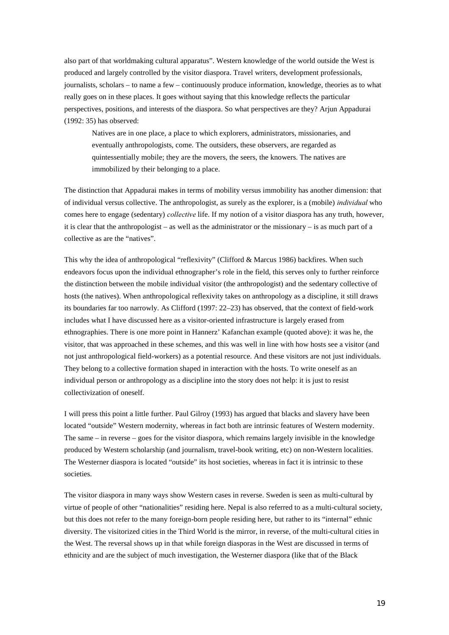also part of that worldmaking cultural apparatus". Western knowledge of the world outside the West is produced and largely controlled by the visitor diaspora. Travel writers, development professionals, journalists, scholars – to name a few – continuously produce information, knowledge, theories as to what really goes on in these places. It goes without saying that this knowledge reflects the particular perspectives, positions, and interests of the diaspora. So what perspectives are they? Arjun Appadurai (1992: 35) has observed:

Natives are in one place, a place to which explorers, administrators, missionaries, and eventually anthropologists, come. The outsiders, these observers, are regarded as quintessentially mobile; they are the movers, the seers, the knowers. The natives are immobilized by their belonging to a place.

The distinction that Appadurai makes in terms of mobility versus immobility has another dimension: that of individual versus collective. The anthropologist, as surely as the explorer, is a (mobile) *individual* who comes here to engage (sedentary) collective life. If my notion of a visitor diaspora has any truth, however, it is clear that the anthropologist – as well as the administrator or the missionary – is as much part of a collective as are the "natives".

This why the idea of anthropological "reflexivity" (Clifford & Marcus 1986) backfires. When such endeavors focus upon the individual ethnographer's role in the field, this serves only to further reinforce the distinction between the mobile individual visitor (the anthropologist) and the sedentary collective of hosts (the natives). When anthropological reflexivity takes on anthropology as a discipline, it still draws its boundaries far too narrowly. As Clifford (1997: 22–23) has observed, that the context of field-work includes what I have discussed here as a visitor-oriented infrastructure is largely erased from ethnographies. There is one more point in Hannerz' Kafanchan example (quoted above): it was he, the visitor, that was approached in these schemes, and this was well in line with how hosts see a visitor (and not just anthropological field-workers) as a potential resource. And these visitors are not just individuals. They belong to a collective formation shaped in interaction with the hosts. To write oneself as an individual person or anthropology as a discipline into the story does not help: it is just to resist collectivization of oneself.

I will press this point a little further. Paul Gilroy (1993) has argued that blacks and slavery have been located "outside" Western modernity, whereas in fact both are intrinsic features of Western modernity. The same – in reverse – goes for the visitor diaspora, which remains largely invisible in the knowledge produced by Western scholarship (and journalism, travel-book writing, etc) on non-Western localities. The Westerner diaspora is located "outside" its host societies, whereas in fact it is intrinsic to these societies.

The visitor diaspora in many ways show Western cases in reverse. Sweden is seen as multi-cultural by virtue of people of other "nationalities" residing here. Nepal is also referred to as a multi-cultural society, but this does not refer to the many foreign-born people residing here, but rather to its "internal" ethnic diversity. The visitorized cities in the Third World is the mirror, in reverse, of the multi-cultural cities in the West. The reversal shows up in that while foreign diasporas in the West are discussed in terms of ethnicity and are the subject of much investigation, the Westerner diaspora (like that of the Black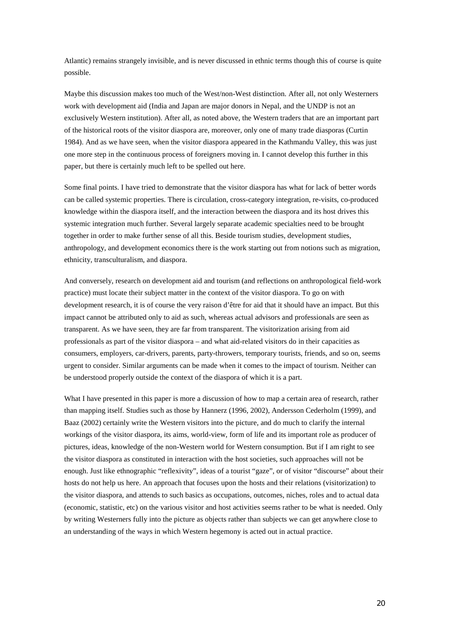Atlantic) remains strangely invisible, and is never discussed in ethnic terms though this of course is quite possible.

Maybe this discussion makes too much of the West/non-West distinction. After all, not only Westerners work with development aid (India and Japan are major donors in Nepal, and the UNDP is not an exclusively Western institution). After all, as noted above, the Western traders that are an important part of the historical roots of the visitor diaspora are, moreover, only one of many trade diasporas (Curtin 1984). And as we have seen, when the visitor diaspora appeared in the Kathmandu Valley, this was just one more step in the continuous process of foreigners moving in. I cannot develop this further in this paper, but there is certainly much left to be spelled out here.

Some final points. I have tried to demonstrate that the visitor diaspora has what for lack of better words can be called systemic properties. There is circulation, cross-category integration, re-visits, co-produced knowledge within the diaspora itself, and the interaction between the diaspora and its host drives this systemic integration much further. Several largely separate academic specialties need to be brought together in order to make further sense of all this. Beside tourism studies, development studies, anthropology, and development economics there is the work starting out from notions such as migration, ethnicity, transculturalism, and diaspora.

And conversely, research on development aid and tourism (and reflections on anthropological field-work practice) must locate their subject matter in the context of the visitor diaspora. To go on with development research, it is of course the very raison d'être for aid that it should have an impact. But this impact cannot be attributed only to aid as such, whereas actual advisors and professionals are seen as transparent. As we have seen, they are far from transparent. The visitorization arising from aid professionals as part of the visitor diaspora – and what aid-related visitors do in their capacities as consumers, employers, car-drivers, parents, party-throwers, temporary tourists, friends, and so on, seems urgent to consider. Similar arguments can be made when it comes to the impact of tourism. Neither can be understood properly outside the context of the diaspora of which it is a part.

What I have presented in this paper is more a discussion of how to map a certain area of research, rather than mapping itself. Studies such as those by Hannerz (1996, 2002), Andersson Cederholm (1999), and Baaz (2002) certainly write the Western visitors into the picture, and do much to clarify the internal workings of the visitor diaspora, its aims, world-view, form of life and its important role as producer of pictures, ideas, knowledge of the non-Western world for Western consumption. But if I am right to see the visitor diaspora as constituted in interaction with the host societies, such approaches will not be enough. Just like ethnographic "reflexivity", ideas of a tourist "gaze", or of visitor "discourse" about their hosts do not help us here. An approach that focuses upon the hosts and their relations (visitorization) to the visitor diaspora, and attends to such basics as occupations, outcomes, niches, roles and to actual data (economic, statistic, etc) on the various visitor and host activities seems rather to be what is needed. Only by writing Westerners fully into the picture as objects rather than subjects we can get anywhere close to an understanding of the ways in which Western hegemony is acted out in actual practice.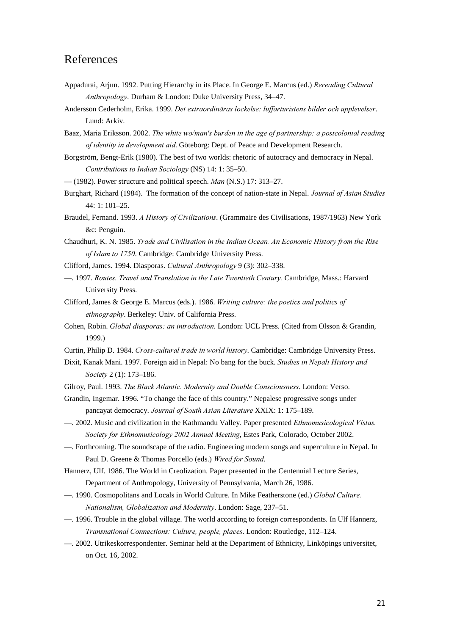### References

- Appadurai, Arjun. 1992. Putting Hierarchy in its Place. In George E. Marcus (ed.) Rereading Cultural Anthropology. Durham & London: Duke University Press, 34-47.
- Andersson Cederholm, Erika. 1999. Det extraordinäras lockelse: luffarturistens bilder och upplevelser. Lund: Arkiv.
- Baaz, Maria Eriksson. 2002. The white wo/man's burden in the age of partnership: a postcolonial reading of identity in development aid. Göteborg: Dept. of Peace and Development Research.
- Borgström, Bengt-Erik (1980). The best of two worlds: rhetoric of autocracy and democracy in Nepal. Contributions to Indian Sociology (NS) 14: 1: 35–50.
- $-$  (1982). Power structure and political speech. *Man* (N.S.) 17: 313–27.
- Burghart, Richard (1984). The formation of the concept of nation-state in Nepal. Journal of Asian Studies 44: 1: 101–25.
- Braudel, Fernand. 1993. *A History of Civilizations*. (Grammaire des Civilisations, 1987/1963) New York &c: Penguin.
- Chaudhuri, K. N. 1985. Trade and Civilisation in the Indian Ocean. An Economic History from the Rise of Islam to 1750. Cambridge: Cambridge University Press.
- Clifford, James. 1994. Diasporas. Cultural Anthropology 9 (3): 302-338.
- —. 1997. Routes. Travel and Translation in the Late Twentieth Century. Cambridge, Mass.: Harvard University Press.
- Clifford, James & George E. Marcus (eds.). 1986. Writing culture: the poetics and politics of ethnography. Berkeley: Univ. of California Press.
- Cohen, Robin. Global diasporas: an introduction. London: UCL Press. (Cited from Olsson & Grandin, 1999.)
- Curtin, Philip D. 1984. Cross-cultural trade in world history. Cambridge: Cambridge University Press.
- Dixit, Kanak Mani. 1997. Foreign aid in Nepal: No bang for the buck. Studies in Nepali History and Society 2 (1): 173–186.
- Gilroy, Paul. 1993. The Black Atlantic. Modernity and Double Consciousness. London: Verso.
- Grandin, Ingemar. 1996. "To change the face of this country." Nepalese progressive songs under pancayat democracy. Journal of South Asian Literature XXIX: 1: 175-189.
- -. 2002. Music and civilization in the Kathmandu Valley. Paper presented Ethnomusicological Vistas. Society for Ethnomusicology 2002 Annual Meeting, Estes Park, Colorado, October 2002.
- —. Forthcoming. The soundscape of the radio. Engineering modern songs and superculture in Nepal. In Paul D. Greene & Thomas Porcello (eds.) Wired for Sound.
- Hannerz, Ulf. 1986. The World in Creolization. Paper presented in the Centennial Lecture Series, Department of Anthropology, University of Pennsylvania, March 26, 1986.
- -. 1990. Cosmopolitans and Locals in World Culture. In Mike Featherstone (ed.) Global Culture. Nationalism, Globalization and Modernity. London: Sage, 237-51.
- —. 1996. Trouble in the global village. The world according to foreign correspondents. In Ulf Hannerz, Transnational Connections: Culture, people, places. London: Routledge, 112-124.
- —. 2002. Utrikeskorrespondenter. Seminar held at the Department of Ethnicity, Linköpings universitet, on Oct. 16, 2002.